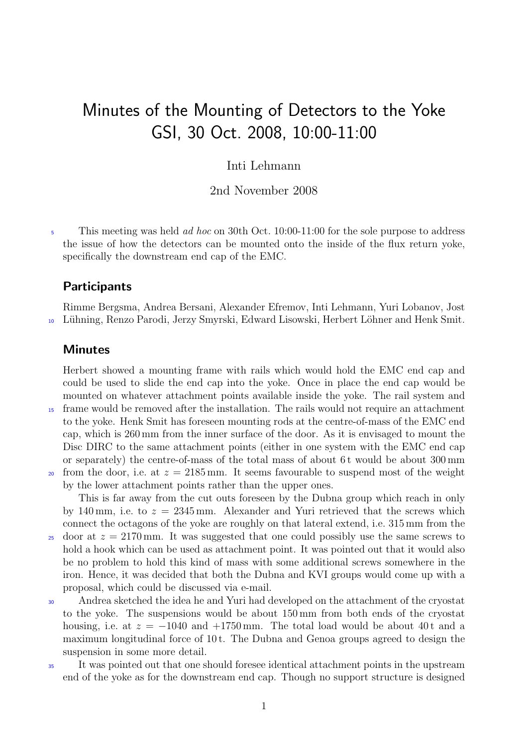## Minutes of the Mounting of Detectors to the Yoke GSI, 30 Oct. 2008, 10:00-11:00

## Inti Lehmann

2nd November 2008

 $\frac{1}{5}$  This meeting was held *ad hoc* on 30th Oct. 10:00-11:00 for the sole purpose to address the issue of how the detectors can be mounted onto the inside of the flux return yoke, specifically the downstream end cap of the EMC.

## **Participants**

Rimme Bergsma, Andrea Bersani, Alexander Efremov, Inti Lehmann, Yuri Lobanov, Jost Lühning, Renzo Parodi, Jerzy Smyrski, Edward Lisowski, Herbert Löhner and Henk Smit.

## **Minutes**

Herbert showed a mounting frame with rails which would hold the EMC end cap and could be used to slide the end cap into the yoke. Once in place the end cap would be mounted on whatever attachment points available inside the yoke. The rail system and

- <sup>15</sup> frame would be removed after the installation. The rails would not require an attachment to the yoke. Henk Smit has foreseen mounting rods at the centre-of-mass of the EMC end cap, which is 260 mm from the inner surface of the door. As it is envisaged to mount the Disc DIRC to the same attachment points (either in one system with the EMC end cap or separately) the centre-of-mass of the total mass of about 6t would be about 300 mm
- 20 from the door, i.e. at  $z = 2185 \,\mathrm{mm}$ . It seems favourable to suspend most of the weight by the lower attachment points rather than the upper ones.

This is far away from the cut outs foreseen by the Dubna group which reach in only by 140 mm, i.e. to  $z = 2345$  mm. Alexander and Yuri retrieved that the screws which connect the octagons of the yoke are roughly on that lateral extend, i.e. 315 mm from the

- <sup>25</sup> door at  $z = 2170$  mm. It was suggested that one could possibly use the same screws to hold a hook which can be used as attachment point. It was pointed out that it would also be no problem to hold this kind of mass with some additional screws somewhere in the iron. Hence, it was decided that both the Dubna and KVI groups would come up with a proposal, which could be discussed via e-mail.
- <sup>30</sup> Andrea sketched the idea he and Yuri had developed on the attachment of the cryostat to the yoke. The suspensions would be about 150 mm from both ends of the cryostat housing, i.e. at  $z = -1040$  and  $+1750$  mm. The total load would be about 40t and a maximum longitudinal force of 10 t. The Dubna and Genoa groups agreed to design the suspension in some more detail.
- <sup>35</sup> It was pointed out that one should foresee identical attachment points in the upstream end of the yoke as for the downstream end cap. Though no support structure is designed